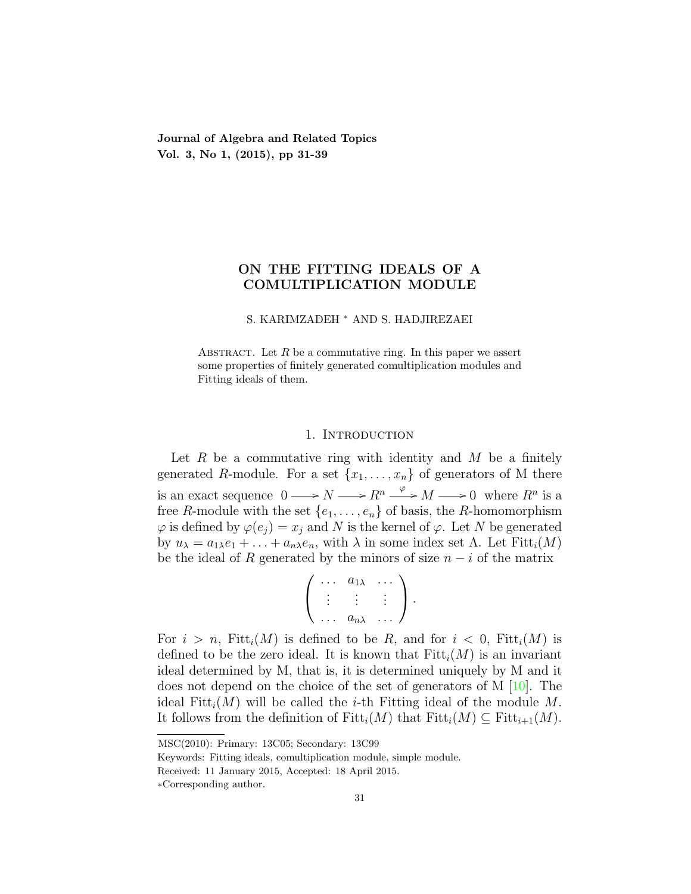Journal of Algebra and Related Topics Vol. 3, No 1, (2015), pp 31-39

# ON THE FITTING IDEALS OF A COMULTIPLICATION MODULE

#### S. KARIMZADEH <sup>∗</sup> AND S. HADJIREZAEI

ABSTRACT. Let  $R$  be a commutative ring. In this paper we assert some properties of finitely generated comultiplication modules and Fitting ideals of them.

#### 1. INTRODUCTION

Let R be a commutative ring with identity and M be a finitely generated R-module. For a set  $\{x_1, \ldots, x_n\}$  of generators of M there is an exact sequence  $0 \longrightarrow N \longrightarrow R^n \stackrel{\varphi}{\longrightarrow} M \longrightarrow 0$  where  $R^n$  is a free R-module with the set  $\{e_1, \ldots, e_n\}$  of basis, the R-homomorphism  $\varphi$  is defined by  $\varphi(e_i) = x_i$  and N is the kernel of  $\varphi$ . Let N be generated by  $u_{\lambda} = a_{1\lambda}e_1 + \ldots + a_{n\lambda}e_n$ , with  $\lambda$  in some index set  $\Lambda$ . Let  $Fitt_i(M)$ be the ideal of R generated by the minors of size  $n - i$  of the matrix

$$
\left(\begin{array}{ccc}\cdots & a_{1\lambda} & \cdots \\ \vdots & \vdots & \vdots \\ \cdots & a_{n\lambda} & \cdots\end{array}\right).
$$

For  $i > n$ , Fitt<sub>i</sub> $(M)$  is defined to be R, and for  $i < 0$ , Fitt<sub>i</sub> $(M)$  is defined to be the zero ideal. It is known that  $Fitt_i(M)$  is an invariant ideal determined by M, that is, it is determined uniquely by M and it does not depend on the choice of the set of generators of M [\[10\]](#page-7-0). The ideal Fitt<sub>i</sub> $(M)$  will be called the *i*-th Fitting ideal of the module M. It follows from the definition of  $Fitt_i(M)$  that  $Fitt_i(M) \subseteq Fitt_{i+1}(M)$ .

MSC(2010): Primary: 13C05; Secondary: 13C99

Keywords: Fitting ideals, comultiplication module, simple module.

Received: 11 January 2015, Accepted: 18 April 2015.

<sup>∗</sup>Corresponding author.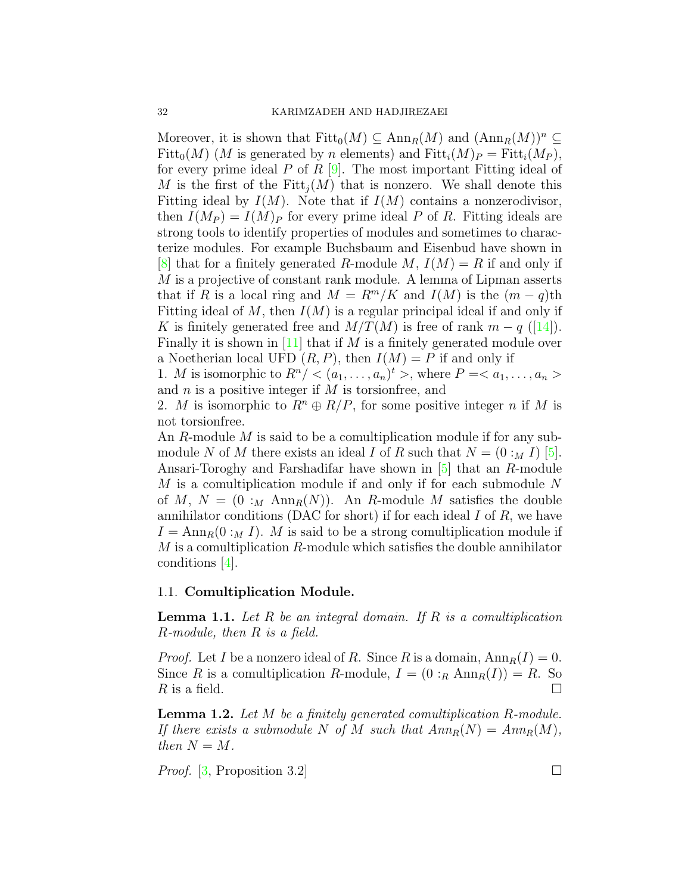Moreover, it is shown that  $Fitt_0(M) \subseteq Ann_R(M)$  and  $(Ann_R(M))^n \subseteq$  $Fitt_0(M)$  (M is generated by n elements) and  $Fitt_i(M)_P = Fitt_i(M_P)$ , for every prime ideal P of R  $[9]$ . The most important Fitting ideal of M is the first of the Fitt<sub>i</sub> $(M)$  that is nonzero. We shall denote this Fitting ideal by  $I(M)$ . Note that if  $I(M)$  contains a nonzerodivisor, then  $I(M_P) = I(M)_P$  for every prime ideal P of R. Fitting ideals are strong tools to identify properties of modules and sometimes to characterize modules. For example Buchsbaum and Eisenbud have shown in [\[8\]](#page-7-2) that for a finitely generated R-module M,  $I(M) = R$  if and only if M is a projective of constant rank module. A lemma of Lipman asserts that if R is a local ring and  $M = R^m/K$  and  $I(M)$  is the  $(m-q)$ th Fitting ideal of M, then  $I(M)$  is a regular principal ideal if and only if K is finitely generated free and  $M/T(M)$  is free of rank  $m - q$  ([\[14\]](#page-7-3)). Finally it is shown in [\[11\]](#page-7-4) that if M is a finitely generated module over a Noetherian local UFD  $(R, P)$ , then  $I(M) = P$  if and only if

1. *M* is isomorphic to  $R^n / <>(a_1, \ldots, a_n)^t >$ , where  $P =$ and  $n$  is a positive integer if  $M$  is torsion free, and

2. M is isomorphic to  $R^n \oplus R/P$ , for some positive integer n if M is not torsionfree.

An R-module M is said to be a comultiplication module if for any submodule N of M there exists an ideal I of R such that  $N = (0 :_M I)$  [\[5\]](#page-7-5). Ansari-Toroghy and Farshadifar have shown in [\[5\]](#page-7-5) that an R-module M is a comultiplication module if and only if for each submodule N of M,  $N = (0 :_M \text{Ann}_R(N))$ . An R-module M satisfies the double annihilator conditions (DAC for short) if for each ideal  $I$  of  $R$ , we have  $I = \text{Ann}_R(0 :_M I)$ . M is said to be a strong comultiplication module if M is a comultiplication R-module which satisfies the double annihilator conditions [\[4\]](#page-7-6).

## 1.1. Comultiplication Module.

**Lemma 1.1.** Let R be an integral domain. If R is a comultiplication R-module, then R is a field.

*Proof.* Let I be a nonzero ideal of R. Since R is a domain,  $Ann_R(I) = 0$ . Since R is a comultiplication R-module,  $I = (0 :_R \text{Ann}_R(I)) = R$ . So R is a field.  $\Box$ 

<span id="page-1-0"></span>**Lemma 1.2.** Let M be a finitely generated comultiplication R-module. If there exists a submodule N of M such that  $Ann_R(N) = Ann_R(M)$ , then  $N = M$ .

*Proof.* [\[3,](#page-7-7) Proposition 3.2]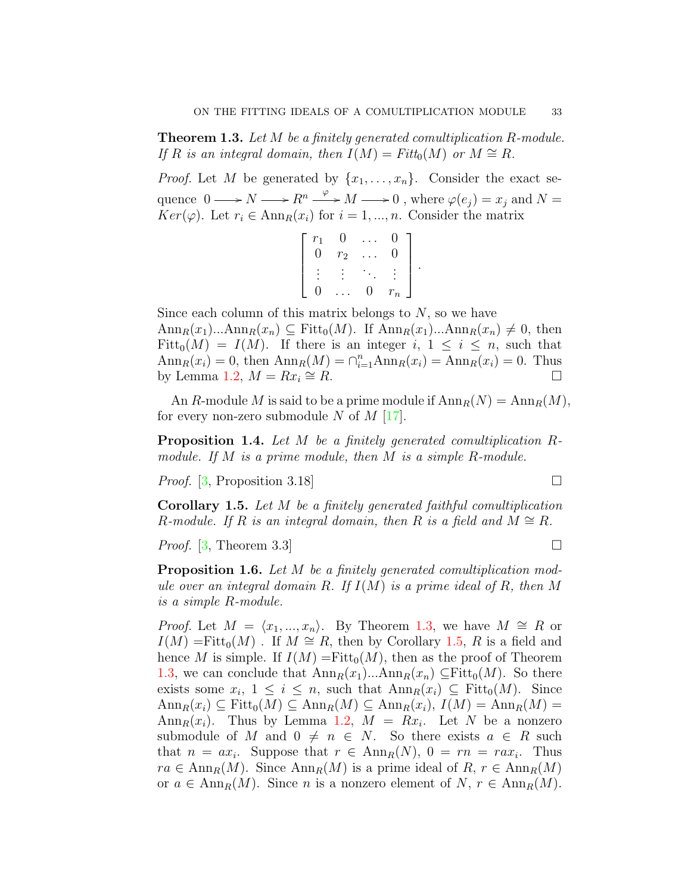<span id="page-2-0"></span>Theorem 1.3. Let M be a finitely generated comultiplication R-module. If R is an integral domain, then  $I(M) = Fitt_0(M)$  or  $M \cong R$ .

*Proof.* Let M be generated by  $\{x_1, \ldots, x_n\}$ . Consider the exact sequence  $0 \longrightarrow N \longrightarrow R^n \stackrel{\varphi}{\longrightarrow} M \longrightarrow 0$ , where  $\varphi(e_j) = x_j$  and  $N =$  $Ker(\varphi)$ . Let  $r_i \in \text{Ann}_R(x_i)$  for  $i = 1, ..., n$ . Consider the matrix

$$
\left[\begin{array}{cccc}r_1 & 0 & \dots & 0 \\0 & r_2 & \dots & 0 \\ \vdots & \vdots & \ddots & \vdots \\0 & \dots & 0 & r_n\end{array}\right]
$$

.

Since each column of this matrix belongs to  $N$ , so we have  $\text{Ann}_R(x_1)...\text{Ann}_R(x_n) \subseteq \text{Fitt}_0(M)$ . If  $\text{Ann}_R(x_1)...\text{Ann}_R(x_n) \neq 0$ , then Fitt<sub>0</sub> $(M) = I(M)$ . If there is an integer i,  $1 \leq i \leq n$ , such that  $\text{Ann}_R(x_i) = 0$ , then  $\text{Ann}_R(M) = \bigcap_{i=1}^n \text{Ann}_R(x_i) = \text{Ann}_R(x_i) = 0$ . Thus by Lemma [1.2,](#page-1-0)  $M = Rx_i \cong R$ .  $\cong R$ .  $\Box$ 

An R-module M is said to be a prime module if  $\text{Ann}_R(N) = \text{Ann}_R(M)$ , for every non-zero submodule N of  $M$  [\[17\]](#page-7-8).

<span id="page-2-2"></span>Proposition 1.4. Let M be a finitely generated comultiplication Rmodule. If M is a prime module, then M is a simple R-module.

*Proof.* [\[3,](#page-7-7) Proposition 3.18]

<span id="page-2-1"></span>Corollary 1.5. Let M be a finitely generated faithful comultiplication R-module. If R is an integral domain, then R is a field and  $M \cong R$ .

*Proof.* [\[3,](#page-7-7) Theorem 3.3]

**Proposition 1.6.** Let M be a finitely generated comultiplication module over an integral domain R. If  $I(M)$  is a prime ideal of R, then M is a simple R-module.

*Proof.* Let  $M = \langle x_1, ..., x_n \rangle$ . By Theorem [1.3,](#page-2-0) we have  $M \cong R$  or  $I(M) = \text{Fitt}_0(M)$ . If  $M \cong R$ , then by Corollary [1.5,](#page-2-1) R is a field and hence M is simple. If  $I(M) = \text{Fitt}_0(M)$ , then as the proof of Theorem [1.3,](#page-2-0) we can conclude that  $\text{Ann}_R(x_1)...\text{Ann}_R(x_n) \subseteq \text{Fitt}_0(M)$ . So there exists some  $x_i$ ,  $1 \leq i \leq n$ , such that  $\text{Ann}_R(x_i) \subseteq \text{Fitt}_0(M)$ . Since  $\text{Ann}_R(x_i) \subseteq \text{Fitt}_0(M) \subseteq \text{Ann}_R(M) \subseteq \text{Ann}_R(x_i), I(M) = \text{Ann}_R(M) =$ Ann $_R(x_i)$ . Thus by Lemma [1.2,](#page-1-0)  $M = Rx_i$ . Let N be a nonzero submodule of M and  $0 \neq n \in N$ . So there exists  $a \in R$  such that  $n = ax_i$ . Suppose that  $r \in \text{Ann}_R(N)$ ,  $0 = rn = rax_i$ . Thus  $ra \in \text{Ann}_R(M)$ . Since  $\text{Ann}_R(M)$  is a prime ideal of  $R, r \in \text{Ann}_R(M)$ or  $a \in \text{Ann}_R(M)$ . Since n is a nonzero element of  $N, r \in \text{Ann}_R(M)$ .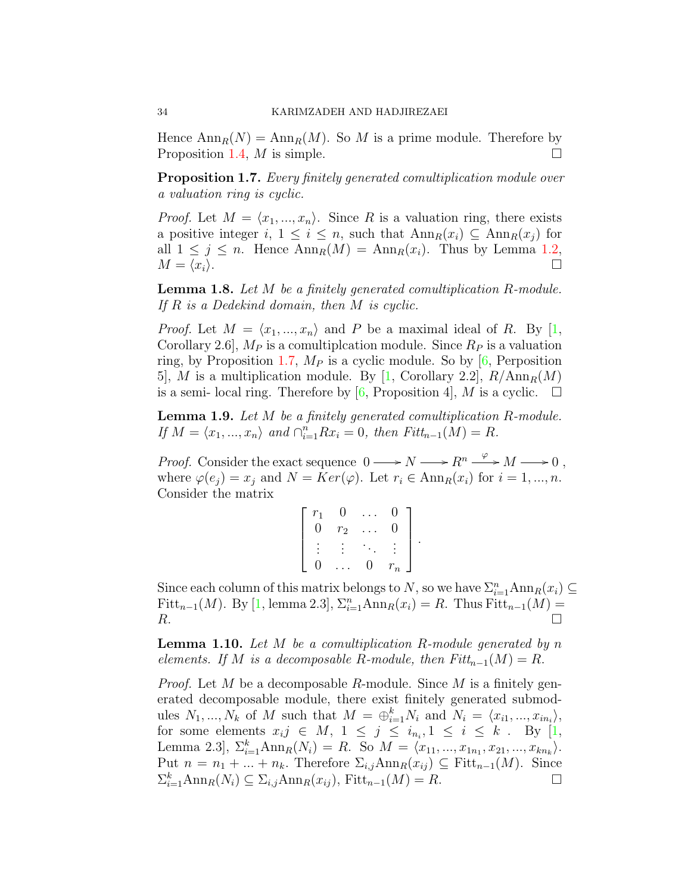Hence  $\text{Ann}_R(N) = \text{Ann}_R(M)$ . So M is a prime module. Therefore by Proposition [1.4,](#page-2-2)  $M$  is simple.

<span id="page-3-0"></span>**Proposition 1.7.** Every finitely generated comultiplication module over a valuation ring is cyclic.

*Proof.* Let  $M = \langle x_1, ..., x_n \rangle$ . Since R is a valuation ring, there exists a positive integer i,  $1 \leq i \leq n$ , such that  $\text{Ann}_R(x_i) \subseteq \text{Ann}_R(x_i)$  for all  $1 \leq j \leq n$ . Hence  $\text{Ann}_R(M) = \text{Ann}_R(x_i)$ . Thus by Lemma [1.2,](#page-1-0)  $M = \langle x_i \rangle.$ 

**Lemma 1.8.** Let M be a finitely generated comultiplication R-module. If R is a Dedekind domain, then M is cyclic.

*Proof.* Let  $M = \langle x_1, ..., x_n \rangle$  and P be a maximal ideal of R. By [\[1,](#page-7-9) Corollary 2.6,  $M_P$  is a comultiplcation module. Since  $R_P$  is a valuation ring, by Proposition [1.7,](#page-3-0)  $M_P$  is a cyclic module. So by [\[6,](#page-7-10) Perposition 5, M is a multiplication module. By [\[1,](#page-7-9) Corollary 2.2],  $R/\text{Ann}_R(M)$ is a semi- local ring. Therefore by [\[6,](#page-7-10) Proposition 4], M is a cyclic.  $\square$ 

**Lemma 1.9.** Let M be a finitely generated comultiplication R-module. If  $M = \langle x_1, ..., x_n \rangle$  and  $\bigcap_{i=1}^n Rx_i = 0$ , then  $Fitt_{n-1}(M) = R$ .

*Proof.* Consider the exact sequence  $0 \longrightarrow N \longrightarrow R^n \stackrel{\varphi}{\longrightarrow} M \longrightarrow 0$ , where  $\varphi(e_i) = x_i$  and  $N = Ker(\varphi)$ . Let  $r_i \in Ann_R(x_i)$  for  $i = 1, ..., n$ . Consider the matrix

| $r_{1}$ |       |   |       |
|---------|-------|---|-------|
| 0       | $r_2$ |   |       |
|         |       |   |       |
| 0       |       | 0 | $r_n$ |

Since each column of this matrix belongs to N, so we have  $\sum_{i=1}^{n} \text{Ann}_{R}(x_i) \subseteq$ Fitt<sub>n−1</sub>(*M*). By [\[1,](#page-7-9) lemma 2.3],  $\Sigma_{i=1}^{n}$ Ann<sub>*R*</sub>( $x_i$ ) = *R*. Thus Fitt<sub>n−1</sub>(*M*) =  $R$ .

<span id="page-3-1"></span>**Lemma 1.10.** Let M be a comultiplication R-module generated by n elements. If M is a decomposable R-module, then  $Fitt_{n-1}(M) = R$ .

*Proof.* Let M be a decomposable R-module. Since M is a finitely generated decomposable module, there exist finitely generated submodules  $N_1, ..., N_k$  of M such that  $M = \bigoplus_{i=1}^k N_i$  and  $N_i = \langle x_{i1}, ..., x_{in_i} \rangle$ , for some elements  $x_i j \in M$ ,  $1 \leq j \leq i_{n_i}, 1 \leq i \leq k$ . By [\[1,](#page-7-9) Lemma 2.3],  $\Sigma_{i=1}^k \text{Ann}_R(N_i) = R$ . So  $M = \langle x_{11}, ..., x_{1n_1}, x_{21}, ..., x_{kn_k} \rangle$ . Put  $n = n_1 + ... + n_k$ . Therefore  $\Sigma_{i,j}$ Ann $_R(x_{ij}) \subseteq$  Fitt<sub>n-1</sub>(M). Since  $\sum_{i=1}^{k} \text{Ann}_{R}(N_{i}) \subseteq \sum_{i,j} \text{Ann}_{R}(x_{ij}), \text{Fitt}_{n-1}(M) = R.$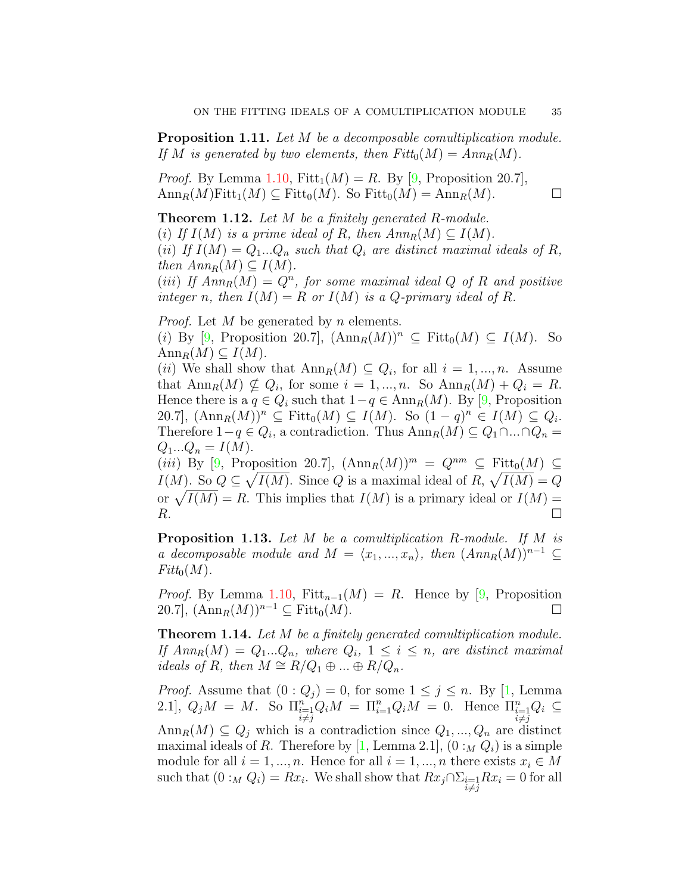Proposition 1.11. Let M be a decomposable comultiplication module. If M is generated by two elements, then  $Fitt_0(M) = Ann_R(M)$ .

*Proof.* By Lemma [1.10,](#page-3-1)  $Fitt_1(M) = R$ . By [\[9,](#page-7-1) Proposition 20.7],  $\text{Ann}_R(M)\text{Fitt}_1(M) \subseteq \text{Fitt}_0(M)$ . So  $\text{Fitt}_0(M) = \text{Ann}_R(M)$ .

**Theorem 1.12.** Let M be a finitely generated R-module. (i) If  $I(M)$  is a prime ideal of R, then  $Ann_R(M) \subseteq I(M)$ . (ii) If  $I(M) = Q_1...Q_n$  such that  $Q_i$  are distinct maximal ideals of R, then  $Ann_R(M) \subseteq I(M)$ .

(iii) If  $Ann_R(M) = Q^n$ , for some maximal ideal Q of R and positive integer n, then  $I(M) = R$  or  $I(M)$  is a Q-primary ideal of R.

*Proof.* Let  $M$  be generated by  $n$  elements.

(i) By [\[9,](#page-7-1) Proposition 20.7],  $(\text{Ann}_R(M))^n \subseteq \text{Fitt}_0(M) \subseteq I(M)$ . So  $\text{Ann}_R(M) \subseteq I(M)$ .

(*ii*) We shall show that  $\text{Ann}_R(M) \subseteq Q_i$ , for all  $i = 1, ..., n$ . Assume that  $\text{Ann}_R(M) \nsubseteq Q_i$ , for some  $i = 1, ..., n$ . So  $\text{Ann}_R(M) + Q_i = R$ . Hence there is a  $q \in Q_i$  such that  $1-q \in Ann_R(M)$ . By [\[9,](#page-7-1) Proposition 20.7],  $(\text{Ann}_R(M))^n \subseteq \text{Fitt}_0(M) \subseteq I(M)$ . So  $(1-q)^n \in I(M) \subseteq Q_i$ . Therefore  $1-q \in Q_i$ , a contradiction. Thus  $\text{Ann}_R(M) \subseteq Q_1 \cap ... \cap Q_n =$  $Q_1...Q_n = I(M).$ 

(iii) By [\[9,](#page-7-1) Proposition 20.7],  $(\text{Ann}_R(M))^m = Q^{nm} \subseteq \text{Fitt}_0(M) \subseteq$  $I(M)$ . So  $Q \subseteq \sqrt{I(M)}$ . Since Q is a maximal ideal of R,  $\sqrt{I(M)} = Q$ or  $\sqrt{I(M)} = R$ . This implies that  $I(M)$  is a primary ideal or  $I(M) =$  $R$ .

Proposition 1.13. Let M be a comultiplication R-module. If M is a decomposable module and  $M = \langle x_1, ..., x_n \rangle$ , then  $(Ann_R(M))^{n-1} \subseteq$  $Fitt_0(M)$ .

*Proof.* By Lemma [1.10,](#page-3-1) Fitt<sub>n−1</sub>( $M$ ) = R. Hence by [\[9,](#page-7-1) Proposition 20.7],  $(\text{Ann}_R(M))^{n-1} \subseteq \text{Fitt}_0(M)$ .

<span id="page-4-0"></span>Theorem 1.14. Let M be a finitely generated comultiplication module. If  $Ann_R(M) = Q_1...Q_n$ , where  $Q_i$ ,  $1 \leq i \leq n$ , are distinct maximal ideals of R, then  $M \cong R/Q_1 \oplus ... \oplus R/Q_n$ .

*Proof.* Assume that  $(0:Q_i) = 0$ , for some  $1 \leq j \leq n$ . By [\[1,](#page-7-9) Lemma 2.1],  $Q_j M = M$ . So  $\Pi_{\substack{i=1 \ i \neq j}}^n Q_i M = \Pi_{i=1}^n Q_i M = 0$ . Hence  $\Pi_{\substack{i=1 \ i \neq j}}^n Q_i \subseteq$ Ann<sub>R</sub> $(M) \subseteq Q_i$  which is a contradiction since  $Q_1, ..., Q_n$  are distinct maximal ideals of R. Therefore by [\[1,](#page-7-9) Lemma 2.1],  $(0:_{M} Q_i)$  is a simple module for all  $i = 1, ..., n$ . Hence for all  $i = 1, ..., n$  there exists  $x_i \in M$ such that  $(0:_{M} Q_{i}) = Rx_{i}$ . We shall show that  $Rx_{j} \cap \sum_{i=1} Rx_{i} = 0$  for all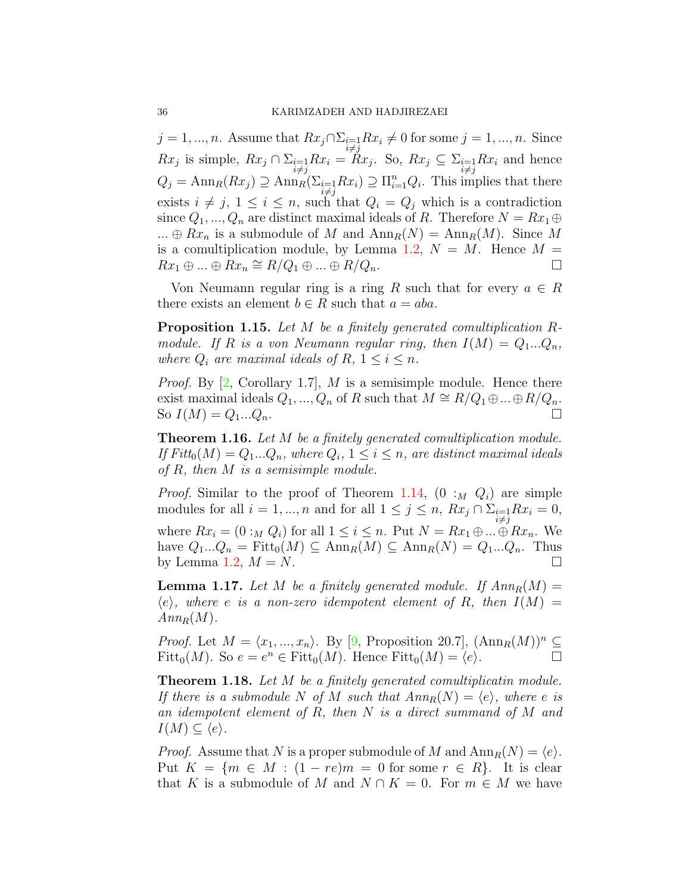$j = 1, ..., n$ . Assume that  $Rx_j \cap \Sigma_{i=1}Rx_i \neq 0$  for some  $j = 1, ..., n$ . Since  $Rx_j$  is simple,  $Rx_j \cap \sum_{\substack{i=1 \ i \neq j}}^{\infty} Rx_i = Rx_j$ . So,  $Rx_j \subseteq \sum_{\substack{i=1 \ i \neq j}}^{\infty} Rx_i$  and hence  $Q_j = \text{Ann}_R(Rx_j) \supseteq \text{Ann}_R(\Sigma_{\substack{i=1 \ i \neq j}} Rx_i) \supseteq \Pi_{i=1}^n Q_i$ . This implies that there exists  $i \neq j$ ,  $1 \leq i \leq n$ , such that  $Q_i = Q_j$  which is a contradiction since  $Q_1, ..., Q_n$  are distinct maximal ideals of R. Therefore  $N = Rx_1 \oplus$ ...  $\oplus Rx_n$  is a submodule of M and  $Ann_R(N) = Ann_R(M)$ . Since M is a comultiplication module, by Lemma [1.2,](#page-1-0)  $N = M$ . Hence  $M =$  $Rx_1 \oplus \ldots \oplus Rx_n \cong R/Q_1 \oplus \ldots \oplus R/Q_n.$ 

Von Neumann regular ring is a ring R such that for every  $a \in R$ there exists an element  $b \in R$  such that  $a = aba$ .

Proposition 1.15. Let M be a finitely generated comultiplication Rmodule. If R is a von Neumann regular ring, then  $I(M) = Q_1...Q_n$ , where  $Q_i$  are maximal ideals of R,  $1 \leq i \leq n$ .

*Proof.* By  $[2, Corollary 1.7], M$  $[2, Corollary 1.7], M$  is a semisimple module. Hence there exist maximal ideals  $Q_1, ..., Q_n$  of R such that  $M \cong R/Q_1 \oplus ... \oplus R/Q_n$ . So  $I(M) = Q_1...Q_n$ .

Theorem 1.16. Let M be a finitely generated comultiplication module. If  $Fitt_0(M) = Q_1...Q_n$ , where  $Q_i$ ,  $1 \leq i \leq n$ , are distinct maximal ideals of R, then M is a semisimple module.

*Proof.* Similar to the proof of Theorem [1.14,](#page-4-0)  $(0 :_M Q_i)$  are simple modules for all  $i = 1, ..., n$  and for all  $1 \leq j \leq n$ ,  $Rx_j \cap \sum_{\substack{i=1 \ i \neq j}} Rx_i = 0$ , where  $Rx_i = (0 :_M Q_i)$  for all  $1 \leq i \leq n$ . Put  $N = Rx_1 \oplus ... \oplus Rx_n$ . We have  $Q_1...Q_n = \text{Fitt}_0(M) \subseteq \text{Ann}_R(M) \subseteq \text{Ann}_R(N) = Q_1...Q_n$ . Thus by Lemma [1.2,](#page-1-0)  $M = N$ .

<span id="page-5-0"></span>**Lemma 1.17.** Let M be a finitely generated module. If  $Ann_R(M) =$  $\langle e \rangle$ , where e is a non-zero idempotent element of R, then  $I(M) =$  $Ann_R(M)$ .

*Proof.* Let  $M = \langle x_1, ..., x_n \rangle$ . By [\[9,](#page-7-1) Proposition 20.7],  $(\text{Ann}_R(M))^n \subseteq$ Fitt<sub>0</sub> $(M)$ . So  $e = e^n \in \text{Fitt}_0(M)$ . Hence  $\text{Fitt}_0(M) = \langle e \rangle$ .

<span id="page-5-1"></span>**Theorem 1.18.** Let M be a finitely generated comultiplicatin module. If there is a submodule N of M such that  $Ann_R(N) = \langle e \rangle$ , where e is an idempotent element of R, then N is a direct summand of M and  $I(M) \subseteq \langle e \rangle$ .

*Proof.* Assume that N is a proper submodule of M and  $\text{Ann}_R(N) = \langle e \rangle$ . Put  $K = \{m \in M : (1 - re)m = 0 \text{ for some } r \in R\}$ . It is clear that K is a submodule of M and  $N \cap K = 0$ . For  $m \in M$  we have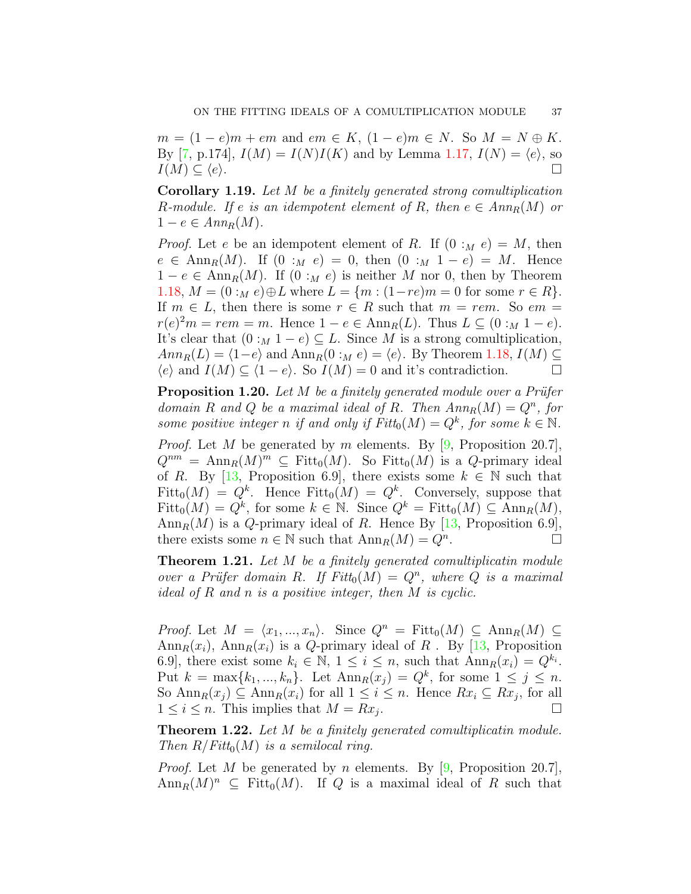$m = (1 - e)m + em$  and  $em \in K$ ,  $(1 - e)m \in N$ . So  $M = N \oplus K$ . By [\[7,](#page-7-12) p.174],  $I(M) = I(N)I(K)$  and by Lemma [1.17,](#page-5-0)  $I(N) = \langle e \rangle$ , so  $I(M) \subseteq \langle e \rangle.$ 

Corollary 1.19. Let M be a finitely generated strong comultiplication R-module. If e is an idempotent element of R, then  $e \in Ann_R(M)$  or  $1-e \in Ann_R(M).$ 

*Proof.* Let e be an idempotent element of R. If  $(0:_{M}e) = M$ , then  $e \in \text{Ann}_R(M)$ . If  $(0 :_M e) = 0$ , then  $(0 :_M 1 - e) = M$ . Hence  $1 - e \in \text{Ann}_R(M)$ . If  $(0 :_M e)$  is neither M nor 0, then by Theorem [1.18,](#page-5-1)  $M = (0 :_M e) ⊕ L$  where  $L = \{m : (1-re)m = 0 \text{ for some } r \in R\}.$ If  $m \in L$ , then there is some  $r \in R$  such that  $m = rem$ . So  $em =$  $r(e)^{2}m = rem = m$ . Hence  $1 - e \in \text{Ann}_{R}(L)$ . Thus  $L \subseteq (0 :_{M} 1 - e)$ . It's clear that  $(0 :_M 1 - e) \subseteq L$ . Since M is a strong comultiplication,  $Ann_R(L) = \langle 1-e \rangle$  and  $Ann_R(0 :_M e) = \langle e \rangle$ . By Theorem [1.18,](#page-5-1)  $I(M) \subseteq$  $\langle e \rangle$  and  $I(M) \subseteq \langle 1 - e \rangle$ . So  $I(M) = 0$  and it's contradiction.

**Proposition 1.20.** Let  $M$  be a finitely generated module over a Prüfer domain R and Q be a maximal ideal of R. Then  $Ann_R(M) = Q^n$ , for some positive integer n if and only if  $Fitt_0(M) = Q^k$ , for some  $k \in \mathbb{N}$ .

*Proof.* Let M be generated by m elements. By  $[9,$  Proposition 20.7],  $Q^{nm} = \text{Ann}_R(M)^m \subseteq \text{Fitt}_0(M)$ . So  $\text{Fitt}_0(M)$  is a Q-primary ideal of R. By [\[13,](#page-7-13) Proposition 6.9], there exists some  $k \in \mathbb{N}$  such that Fitt<sub>0</sub> $(M) = Q^k$ . Hence Fitt<sub>0</sub> $(M) = Q^k$ . Conversely, suppose that  $Fitt_0(M) = Q^k$ , for some  $k \in \mathbb{N}$ . Since  $Q^k = Fitt_0(M) \subseteq \text{Ann}_R(M)$ ,  $\text{Ann}_R(M)$  is a Q-primary ideal of R. Hence By [\[13,](#page-7-13) Proposition 6.9], there exists some  $n \in \mathbb{N}$  such that  $\text{Ann}_R(M) = Q^n$ . .

**Theorem 1.21.** Let M be a finitely generated comultiplicatin module over a Prüfer domain R. If  $Fitt_0(M) = Q^n$ , where Q is a maximal ideal of R and n is a positive integer, then M is cyclic.

*Proof.* Let  $M = \langle x_1, ..., x_n \rangle$ . Since  $Q^n = \text{Fitt}_0(M) \subseteq \text{Ann}_R(M) \subseteq$  $\text{Ann}_R(x_i)$ ,  $\text{Ann}_R(x_i)$  is a Q-primary ideal of R. By [\[13,](#page-7-13) Proposition 6.9], there exist some  $k_i \in \mathbb{N}$ ,  $1 \leq i \leq n$ , such that  $\text{Ann}_R(x_i) = Q^{k_i}$ . Put  $k = \max\{k_1, ..., k_n\}$ . Let  $\text{Ann}_R(x_j) = Q^k$ , for some  $1 \leq j \leq n$ . So  $\text{Ann}_R(x_j) \subseteq \text{Ann}_R(x_i)$  for all  $1 \leq i \leq n$ . Hence  $Rx_i \subseteq Rx_j$ , for all  $1 \leq i \leq n$ . This implies that  $M = Rx_i$ . .

**Theorem 1.22.** Let M be a finitely generated comultiplicatin module. Then  $R/Fitt_0(M)$  is a semilocal ring.

*Proof.* Let M be generated by n elements. By [\[9,](#page-7-1) Proposition 20.7],  $\text{Ann}_R(M)^n \subseteq \text{Fitt}_0(M)$ . If Q is a maximal ideal of R such that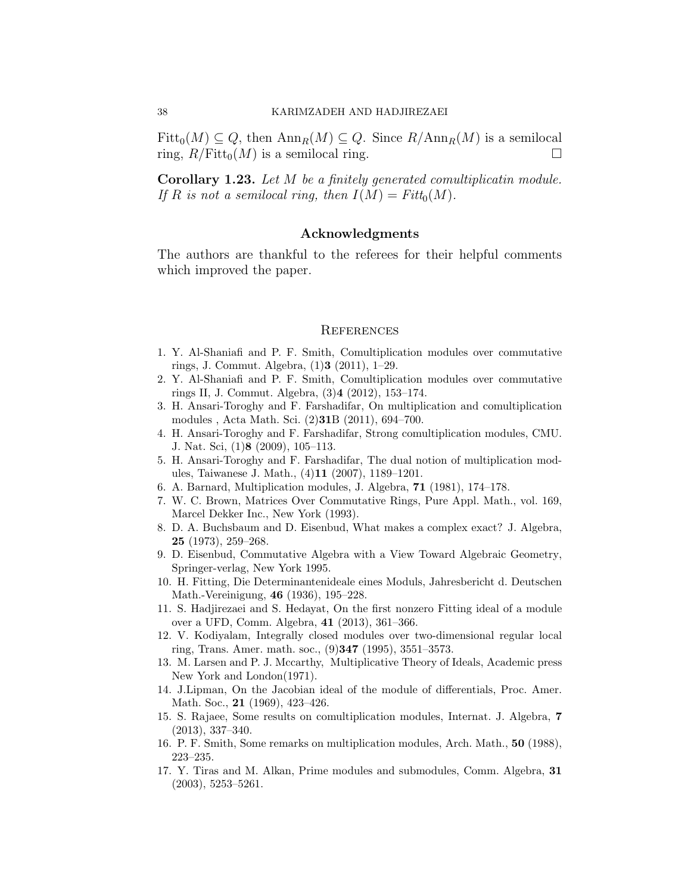$Fitt_0(M) \subseteq Q$ , then  $\text{Ann}_R(M) \subseteq Q$ . Since  $R/\text{Ann}_R(M)$  is a semilocal ring,  $R/Fitt_0(M)$  is a semilocal ring.

Corollary 1.23. Let M be a finitely generated comultiplicatin module. If R is not a semilocal ring, then  $I(M) = Fitt_0(M)$ .

### Acknowledgments

The authors are thankful to the referees for their helpful comments which improved the paper.

#### **REFERENCES**

- <span id="page-7-9"></span>1. Y. Al-Shaniafi and P. F. Smith, Comultiplication modules over commutative rings, J. Commut. Algebra, (1)3 (2011), 1–29.
- <span id="page-7-11"></span>2. Y. Al-Shaniafi and P. F. Smith, Comultiplication modules over commutative rings II, J. Commut. Algebra, (3)4 (2012), 153–174.
- <span id="page-7-7"></span>3. H. Ansari-Toroghy and F. Farshadifar, On multiplication and comultiplication modules , Acta Math. Sci. (2)31B (2011), 694–700.
- <span id="page-7-6"></span>4. H. Ansari-Toroghy and F. Farshadifar, Strong comultiplication modules, CMU. J. Nat. Sci, (1)8 (2009), 105–113.
- <span id="page-7-5"></span>5. H. Ansari-Toroghy and F. Farshadifar, The dual notion of multiplication modules, Taiwanese J. Math., (4)11 (2007), 1189–1201.
- <span id="page-7-10"></span>6. A. Barnard, Multiplication modules, J. Algebra, 71 (1981), 174–178.
- <span id="page-7-12"></span>7. W. C. Brown, Matrices Over Commutative Rings, Pure Appl. Math., vol. 169, Marcel Dekker Inc., New York (1993).
- <span id="page-7-2"></span>8. D. A. Buchsbaum and D. Eisenbud, What makes a complex exact? J. Algebra, 25 (1973), 259–268.
- <span id="page-7-1"></span>9. D. Eisenbud, Commutative Algebra with a View Toward Algebraic Geometry, Springer-verlag, New York 1995.
- <span id="page-7-0"></span>10. H. Fitting, Die Determinantenideale eines Moduls, Jahresbericht d. Deutschen Math.-Vereinigung, 46 (1936), 195–228.
- <span id="page-7-4"></span>11. S. Hadjirezaei and S. Hedayat, On the first nonzero Fitting ideal of a module over a UFD, Comm. Algebra, 41 (2013), 361–366.
- 12. V. Kodiyalam, Integrally closed modules over two-dimensional regular local ring, Trans. Amer. math. soc., (9)347 (1995), 3551–3573.
- <span id="page-7-13"></span>13. M. Larsen and P. J. Mccarthy, Multiplicative Theory of Ideals, Academic press New York and London(1971).
- <span id="page-7-3"></span>14. J.Lipman, On the Jacobian ideal of the module of differentials, Proc. Amer. Math. Soc., 21 (1969), 423–426.
- 15. S. Rajaee, Some results on comultiplication modules, Internat. J. Algebra, 7 (2013), 337–340.
- 16. P. F. Smith, Some remarks on multiplication modules, Arch. Math., 50 (1988), 223–235.
- <span id="page-7-8"></span>17. Y. Tiras and M. Alkan, Prime modules and submodules, Comm. Algebra, 31 (2003), 5253–5261.